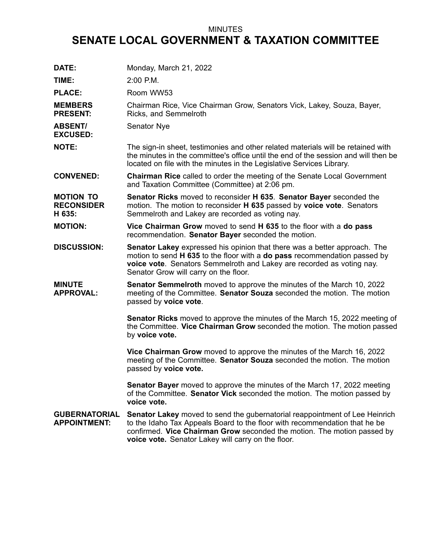## MINUTES

## **SENATE LOCAL GOVERNMENT & TAXATION COMMITTEE**

| DATE:                                           | Monday, March 21, 2022                                                                                                                                                                                                                                                                     |
|-------------------------------------------------|--------------------------------------------------------------------------------------------------------------------------------------------------------------------------------------------------------------------------------------------------------------------------------------------|
| TIME:                                           | $2:00$ P.M.                                                                                                                                                                                                                                                                                |
| <b>PLACE:</b>                                   | Room WW53                                                                                                                                                                                                                                                                                  |
| <b>MEMBERS</b><br><b>PRESENT:</b>               | Chairman Rice, Vice Chairman Grow, Senators Vick, Lakey, Souza, Bayer,<br>Ricks, and Semmelroth                                                                                                                                                                                            |
| <b>ABSENT/</b><br><b>EXCUSED:</b>               | Senator Nye                                                                                                                                                                                                                                                                                |
| <b>NOTE:</b>                                    | The sign-in sheet, testimonies and other related materials will be retained with<br>the minutes in the committee's office until the end of the session and will then be<br>located on file with the minutes in the Legislative Services Library.                                           |
| <b>CONVENED:</b>                                | <b>Chairman Rice</b> called to order the meeting of the Senate Local Government<br>and Taxation Committee (Committee) at 2:06 pm.                                                                                                                                                          |
| <b>MOTION TO</b><br><b>RECONSIDER</b><br>H 635: | <b>Senator Ricks</b> moved to reconsider H 635. Senator Bayer seconded the<br>motion. The motion to reconsider H 635 passed by voice vote. Senators<br>Semmelroth and Lakey are recorded as voting nay.                                                                                    |
| <b>MOTION:</b>                                  | Vice Chairman Grow moved to send H 635 to the floor with a do pass<br>recommendation. Senator Bayer seconded the motion.                                                                                                                                                                   |
| <b>DISCUSSION:</b>                              | <b>Senator Lakey</b> expressed his opinion that there was a better approach. The<br>motion to send H 635 to the floor with a do pass recommendation passed by<br>voice vote. Senators Semmelroth and Lakey are recorded as voting nay.<br>Senator Grow will carry on the floor.            |
| <b>MINUTE</b><br><b>APPROVAL:</b>               | Senator Semmelroth moved to approve the minutes of the March 10, 2022<br>meeting of the Committee. Senator Souza seconded the motion. The motion<br>passed by voice vote.                                                                                                                  |
|                                                 | <b>Senator Ricks</b> moved to approve the minutes of the March 15, 2022 meeting of<br>the Committee. Vice Chairman Grow seconded the motion. The motion passed<br>by voice vote.                                                                                                           |
|                                                 | Vice Chairman Grow moved to approve the minutes of the March 16, 2022<br>meeting of the Committee. Senator Souza seconded the motion. The motion<br>passed by voice vote.                                                                                                                  |
|                                                 | <b>Senator Bayer</b> moved to approve the minutes of the March 17, 2022 meeting<br>of the Committee. Senator Vick seconded the motion. The motion passed by<br>voice vote.                                                                                                                 |
| <b>GUBERNATORIAL</b><br><b>APPOINTMENT:</b>     | Senator Lakey moved to send the gubernatorial reappointment of Lee Heinrich<br>to the Idaho Tax Appeals Board to the floor with recommendation that he be<br>confirmed. Vice Chairman Grow seconded the motion. The motion passed by<br>voice vote. Senator Lakey will carry on the floor. |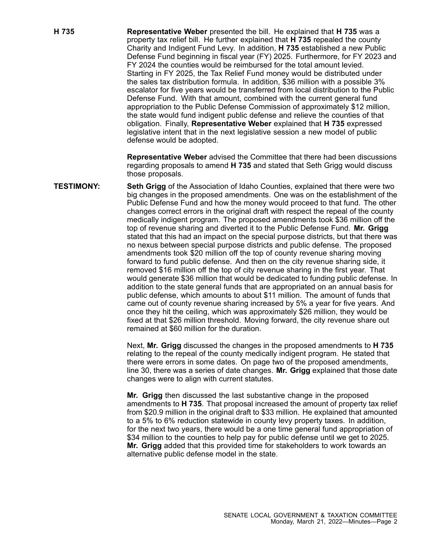**H 735 Representative Weber** presented the bill. He explained that **H 735** was <sup>a</sup> property tax relief bill. He further explained that **H 735** repealed the county Charity and Indigent Fund Levy. In addition, **H 735** established <sup>a</sup> new Public Defense Fund beginning in fiscal year (FY) 2025. Furthermore, for FY 2023 and FY 2024 the counties would be reimbursed for the total amount levied. Starting in FY 2025, the Tax Relief Fund money would be distributed under the sales tax distribution formula. In addition, \$36 million with <sup>a</sup> possible 3% escalator for five years would be transferred from local distribution to the Public Defense Fund. With that amount, combined with the current general fund appropriation to the Public Defense Commission of approximately \$12 million, the state would fund indigent public defense and relieve the counties of that obligation. Finally, **Representative Weber** explained that **H 735** expressed legislative intent that in the next legislative session <sup>a</sup> new model of public defense would be adopted.

> **Representative Weber** advised the Committee that there had been discussions regarding proposals to amend **H 735** and stated that Seth Grigg would discuss those proposals.

**TESTIMONY: Seth Grigg** of the Association of Idaho Counties, explained that there were two big changes in the proposed amendments. One was on the establishment of the Public Defense Fund and how the money would proceed to that fund. The other changes correct errors in the original draft with respect the repeal of the county medically indigent program. The proposed amendments took \$36 million off the top of revenue sharing and diverted it to the Public Defense Fund. **Mr. Grigg** stated that this had an impact on the special purpose districts, but that there was no nexus between special purpose districts and public defense. The proposed amendments took \$20 million off the top of county revenue sharing moving forward to fund public defense. And then on the city revenue sharing side, it removed \$16 million off the top of city revenue sharing in the first year. That would generate \$36 million that would be dedicated to funding public defense. In addition to the state general funds that are appropriated on an annual basis for public defense, which amounts to about \$11 million. The amount of funds that came out of county revenue sharing increased by 5% <sup>a</sup> year for five years. And once they hit the ceiling, which was approximately \$26 million, they would be fixed at that \$26 million threshold. Moving forward, the city revenue share out remained at \$60 million for the duration.

> Next, **Mr. Grigg** discussed the changes in the proposed amendments to **H 735** relating to the repeal of the county medically indigent program. He stated that there were errors in some dates. On page two of the proposed amendments, line 30, there was <sup>a</sup> series of date changes. **Mr. Grigg** explained that those date changes were to align with current statutes.

> **Mr. Grigg** then discussed the last substantive change in the proposed amendments to **H 735**. That proposal increased the amount of property tax relief from \$20.9 million in the original draft to \$33 million. He explained that amounted to <sup>a</sup> 5% to 6% reduction statewide in county levy property taxes. In addition, for the next two years, there would be <sup>a</sup> one time general fund appropriation of \$34 million to the counties to help pay for public defense until we get to 2025. **Mr. Grigg** added that this provided time for stakeholders to work towards an alternative public defense model in the state.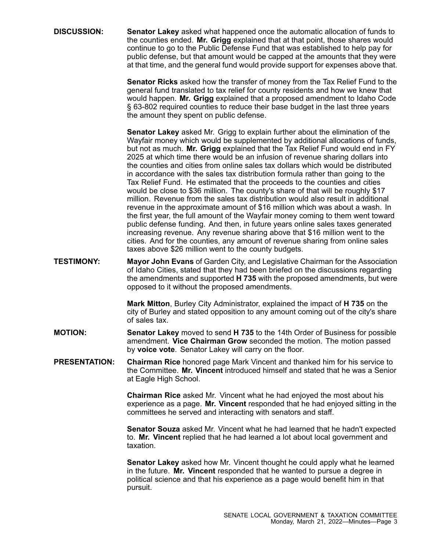**DISCUSSION: Senator Lakey** asked what happened once the automatic allocation of funds to the counties ended. **Mr. Grigg** explained that at that point, those shares would continue to go to the Public Defense Fund that was established to help pay for public defense, but that amount would be capped at the amounts that they were at that time, and the general fund would provide support for expenses above that.

> **Senator Ricks** asked how the transfer of money from the Tax Relief Fund to the general fund translated to tax relief for county residents and how we knew that would happen. **Mr. Grigg** explained that <sup>a</sup> proposed amendment to Idaho Code § 63-802 required counties to reduce their base budget in the last three years the amount they spent on public defense.

> **Senator Lakey** asked Mr. Grigg to explain further about the elimination of the Wayfair money which would be supplemented by additional allocations of funds, but not as much. **Mr. Grigg** explained that the Tax Relief Fund would end in FY 2025 at which time there would be an infusion of revenue sharing dollars into the counties and cities from online sales tax dollars which would be distributed in accordance with the sales tax distribution formula rather than going to the Tax Relief Fund. He estimated that the proceeds to the counties and cities would be close to \$36 million. The county's share of that will be roughly \$17 million. Revenue from the sales tax distribution would also result in additional revenue in the approximate amount of \$16 million which was about <sup>a</sup> wash. In the first year, the full amount of the Wayfair money coming to them went toward public defense funding. And then, in future years online sales taxes generated increasing revenue. Any revenue sharing above that \$16 million went to the cities. And for the counties, any amount of revenue sharing from online sales taxes above \$26 million went to the county budgets.

**TESTIMONY: Mayor John Evans** of Garden City, and Legislative Chairman for the Association of Idaho Cities, stated that they had been briefed on the discussions regarding the amendments and supported **H 735** with the proposed amendments, but were opposed to it without the proposed amendments.

> **Mark Mitton**, Burley City Administrator, explained the impact of **H 735** on the city of Burley and stated opposition to any amount coming out of the city's share of sales tax.

**MOTION: Senator Lakey** moved to send **H 735** to the 14th Order of Business for possible amendment. **Vice Chairman Grow** seconded the motion. The motion passed by **voice vote**. Senator Lakey will carry on the floor.

**PRESENTATION: Chairman Rice** honored page Mark Vincent and thanked him for his service to the Committee. **Mr. Vincent** introduced himself and stated that he was a Senior at Eagle High School.

> **Chairman Rice** asked Mr. Vincent what he had enjoyed the most about his experience as <sup>a</sup> page. **Mr. Vincent** responded that he had enjoyed sitting in the committees he served and interacting with senators and staff.

> **Senator Souza** asked Mr. Vincent what he had learned that he hadn't expected to. **Mr. Vincent** replied that he had learned <sup>a</sup> lot about local government and taxation.

> **Senator Lakey** asked how Mr. Vincent thought he could apply what he learned in the future. **Mr. Vincent** responded that he wanted to pursue <sup>a</sup> degree in political science and that his experience as <sup>a</sup> page would benefit him in that pursuit.